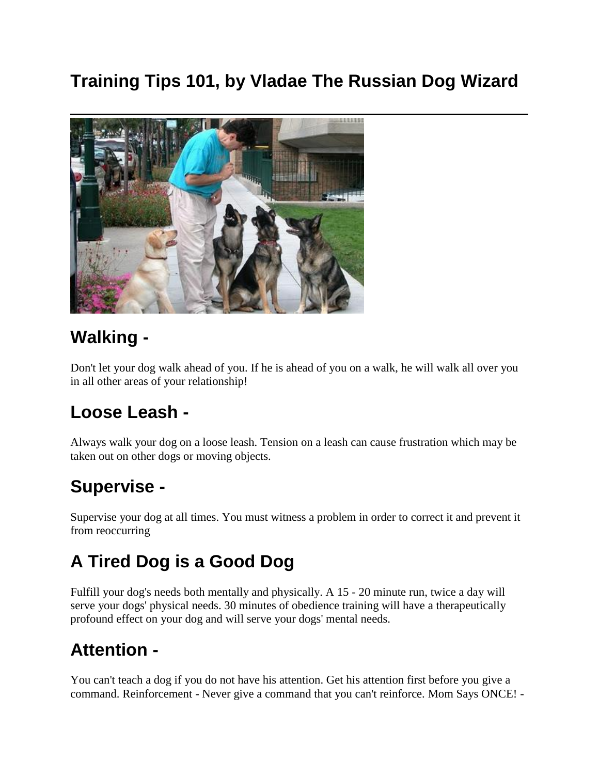### **Training Tips 101, by Vladae The Russian Dog Wizard**



#### **Walking -**

Don't let your dog walk ahead of you. If he is ahead of you on a walk, he will walk all over you in all other areas of your relationship!

#### **Loose Leash -**

Always walk your dog on a loose leash. Tension on a leash can cause frustration which may be taken out on other dogs or moving objects.

### **Supervise -**

Supervise your dog at all times. You must witness a problem in order to correct it and prevent it from reoccurring

## **A Tired Dog is a Good Dog**

Fulfill your dog's needs both mentally and physically. A 15 - 20 minute run, twice a day will serve your dogs' physical needs. 30 minutes of obedience training will have a therapeutically profound effect on your dog and will serve your dogs' mental needs.

#### **Attention -**

You can't teach a dog if you do not have his attention. Get his attention first before you give a command. Reinforcement - Never give a command that you can't reinforce. Mom Says ONCE! -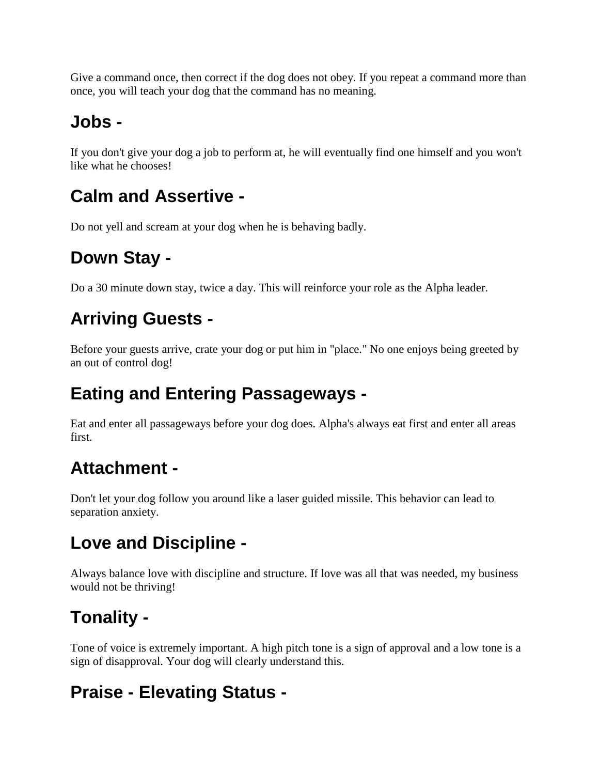Give a command once, then correct if the dog does not obey. If you repeat a command more than once, you will teach your dog that the command has no meaning.

### **Jobs -**

If you don't give your dog a job to perform at, he will eventually find one himself and you won't like what he chooses!

#### **Calm and Assertive -**

Do not yell and scream at your dog when he is behaving badly.

## **Down Stay -**

Do a 30 minute down stay, twice a day. This will reinforce your role as the Alpha leader.

## **Arriving Guests -**

Before your guests arrive, crate your dog or put him in "place." No one enjoys being greeted by an out of control dog!

### **Eating and Entering Passageways -**

Eat and enter all passageways before your dog does. Alpha's always eat first and enter all areas first.

### **Attachment -**

Don't let your dog follow you around like a laser guided missile. This behavior can lead to separation anxiety.

### **Love and Discipline -**

Always balance love with discipline and structure. If love was all that was needed, my business would not be thriving!

## **Tonality -**

Tone of voice is extremely important. A high pitch tone is a sign of approval and a low tone is a sign of disapproval. Your dog will clearly understand this.

## **Praise - Elevating Status -**